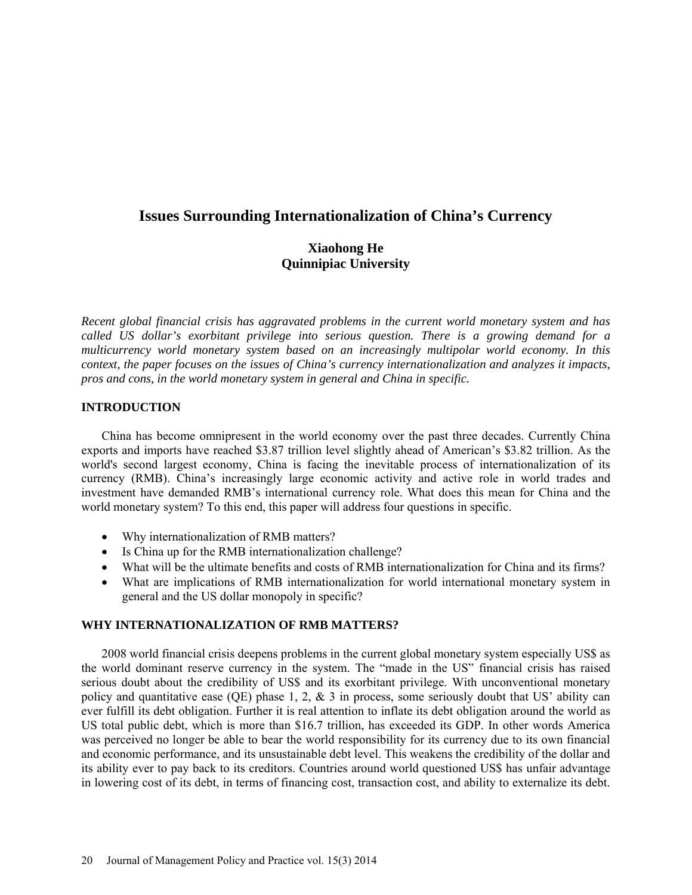# **Issues Surrounding Internationalization of China's Currency**

## **Xiaohong He Quinnipiac University**

*Recent global financial crisis has aggravated problems in the current world monetary system and has called US dollar's exorbitant privilege into serious question. There is a growing demand for a multicurrency world monetary system based on an increasingly multipolar world economy. In this context, the paper focuses on the issues of China's currency internationalization and analyzes it impacts, pros and cons, in the world monetary system in general and China in specific.* 

## **INTRODUCTION**

China has become omnipresent in the world economy over the past three decades. Currently China exports and imports have reached \$3.87 trillion level slightly ahead of American's \$3.82 trillion. As the world's second largest economy, China is facing the inevitable process of internationalization of its currency (RMB). China's increasingly large economic activity and active role in world trades and investment have demanded RMB's international currency role. What does this mean for China and the world monetary system? To this end, this paper will address four questions in specific.

- Why internationalization of RMB matters?
- Is China up for the RMB internationalization challenge?
- What will be the ultimate benefits and costs of RMB internationalization for China and its firms?
- What are implications of RMB internationalization for world international monetary system in general and the US dollar monopoly in specific?

## **WHY INTERNATIONALIZATION OF RMB MATTERS?**

2008 world financial crisis deepens problems in the current global monetary system especially US\$ as the world dominant reserve currency in the system. The "made in the US" financial crisis has raised serious doubt about the credibility of US\$ and its exorbitant privilege. With unconventional monetary policy and quantitative ease (QE) phase 1, 2, & 3 in process, some seriously doubt that US' ability can ever fulfill its debt obligation. Further it is real attention to inflate its debt obligation around the world as US total public debt, which is more than \$16.7 trillion, has exceeded its GDP. In other words America was perceived no longer be able to bear the world responsibility for its currency due to its own financial and economic performance, and its unsustainable debt level. This weakens the credibility of the dollar and its ability ever to pay back to its creditors. Countries around world questioned US\$ has unfair advantage in lowering cost of its debt, in terms of financing cost, transaction cost, and ability to externalize its debt.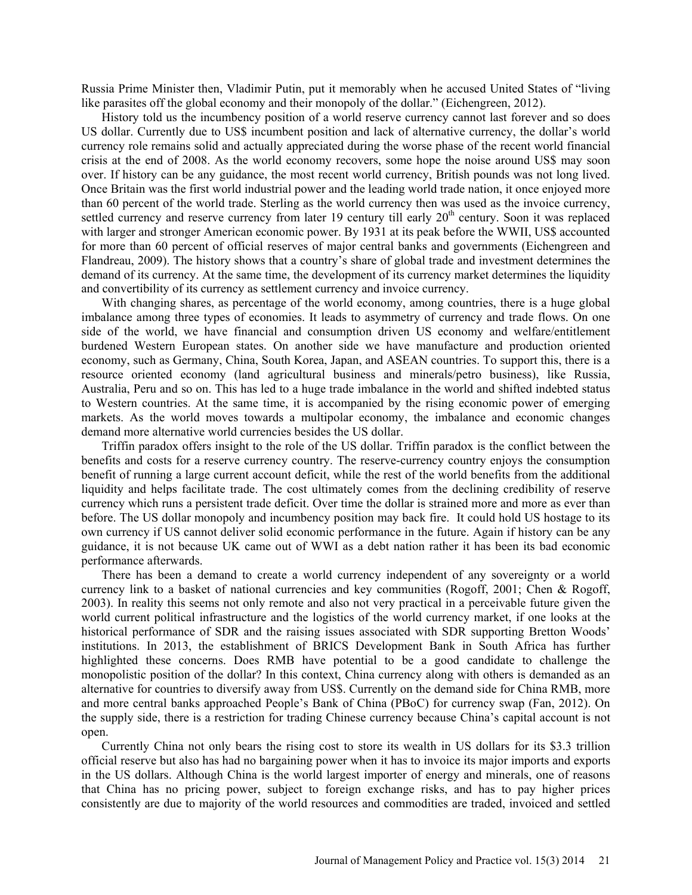Russia Prime Minister then, Vladimir Putin, put it memorably when he accused United States of "living like parasites off the global economy and their monopoly of the dollar." (Eichengreen, 2012).

History told us the incumbency position of a world reserve currency cannot last forever and so does US dollar. Currently due to US\$ incumbent position and lack of alternative currency, the dollar's world currency role remains solid and actually appreciated during the worse phase of the recent world financial crisis at the end of 2008. As the world economy recovers, some hope the noise around US\$ may soon over. If history can be any guidance, the most recent world currency, British pounds was not long lived. Once Britain was the first world industrial power and the leading world trade nation, it once enjoyed more than 60 percent of the world trade. Sterling as the world currency then was used as the invoice currency, settled currency and reserve currency from later 19 century till early  $20<sup>th</sup>$  century. Soon it was replaced with larger and stronger American economic power. By 1931 at its peak before the WWII, US\$ accounted for more than 60 percent of official reserves of major central banks and governments (Eichengreen and Flandreau, 2009). The history shows that a country's share of global trade and investment determines the demand of its currency. At the same time, the development of its currency market determines the liquidity and convertibility of its currency as settlement currency and invoice currency.

With changing shares, as percentage of the world economy, among countries, there is a huge global imbalance among three types of economies. It leads to asymmetry of currency and trade flows. On one side of the world, we have financial and consumption driven US economy and welfare/entitlement burdened Western European states. On another side we have manufacture and production oriented economy, such as Germany, China, South Korea, Japan, and ASEAN countries. To support this, there is a resource oriented economy (land agricultural business and minerals/petro business), like Russia, Australia, Peru and so on. This has led to a huge trade imbalance in the world and shifted indebted status to Western countries. At the same time, it is accompanied by the rising economic power of emerging markets. As the world moves towards a multipolar economy, the imbalance and economic changes demand more alternative world currencies besides the US dollar.

Triffin paradox offers insight to the role of the US dollar. Triffin paradox is the conflict between the benefits and costs for a reserve currency country. The reserve-currency country enjoys the consumption benefit of running a large current account deficit, while the rest of the world benefits from the additional liquidity and helps facilitate trade. The cost ultimately comes from the declining credibility of reserve currency which runs a persistent trade deficit. Over time the dollar is strained more and more as ever than before. The US dollar monopoly and incumbency position may back fire. It could hold US hostage to its own currency if US cannot deliver solid economic performance in the future. Again if history can be any guidance, it is not because UK came out of WWI as a debt nation rather it has been its bad economic performance afterwards.

There has been a demand to create a world currency independent of any sovereignty or a world currency link to a basket of national currencies and key communities (Rogoff, 2001; Chen & Rogoff, 2003). In reality this seems not only remote and also not very practical in a perceivable future given the world current political infrastructure and the logistics of the world currency market, if one looks at the historical performance of SDR and the raising issues associated with SDR supporting Bretton Woods' institutions. In 2013, the establishment of BRICS Development Bank in South Africa has further highlighted these concerns. Does RMB have potential to be a good candidate to challenge the monopolistic position of the dollar? In this context, China currency along with others is demanded as an alternative for countries to diversify away from US\$. Currently on the demand side for China RMB, more and more central banks approached People's Bank of China (PBoC) for currency swap (Fan, 2012). On the supply side, there is a restriction for trading Chinese currency because China's capital account is not open.

Currently China not only bears the rising cost to store its wealth in US dollars for its \$3.3 trillion official reserve but also has had no bargaining power when it has to invoice its major imports and exports in the US dollars. Although China is the world largest importer of energy and minerals, one of reasons that China has no pricing power, subject to foreign exchange risks, and has to pay higher prices consistently are due to majority of the world resources and commodities are traded, invoiced and settled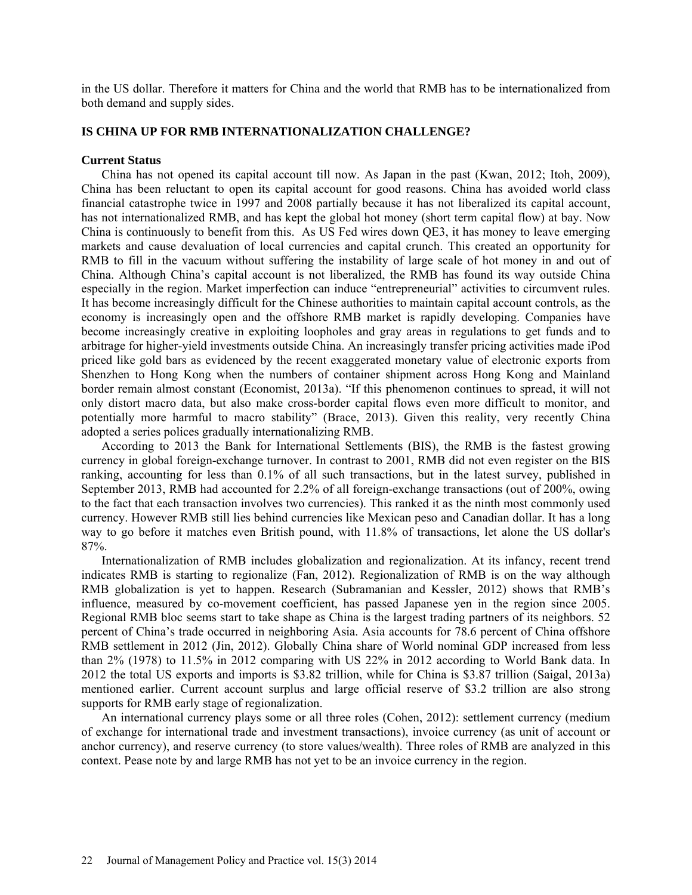in the US dollar. Therefore it matters for China and the world that RMB has to be internationalized from both demand and supply sides.

### **IS CHINA UP FOR RMB INTERNATIONALIZATION CHALLENGE?**

#### **Current Status**

China has not opened its capital account till now. As Japan in the past (Kwan, 2012; Itoh, 2009), China has been reluctant to open its capital account for good reasons. China has avoided world class financial catastrophe twice in 1997 and 2008 partially because it has not liberalized its capital account, has not internationalized RMB, and has kept the global hot money (short term capital flow) at bay. Now China is continuously to benefit from this. As US Fed wires down QE3, it has money to leave emerging markets and cause devaluation of local currencies and capital crunch. This created an opportunity for RMB to fill in the vacuum without suffering the instability of large scale of hot money in and out of China. Although China's capital account is not liberalized, the RMB has found its way outside China especially in the region. Market imperfection can induce "entrepreneurial" activities to circumvent rules. It has become increasingly difficult for the Chinese authorities to maintain capital account controls, as the economy is increasingly open and the offshore RMB market is rapidly developing. Companies have become increasingly creative in exploiting loopholes and gray areas in regulations to get funds and to arbitrage for higher-yield investments outside China. An increasingly transfer pricing activities made iPod priced like gold bars as evidenced by the recent exaggerated monetary value of electronic exports from Shenzhen to Hong Kong when the numbers of container shipment across Hong Kong and Mainland border remain almost constant (Economist, 2013a). "If this phenomenon continues to spread, it will not only distort macro data, but also make cross-border capital flows even more difficult to monitor, and potentially more harmful to macro stability" (Brace, 2013). Given this reality, very recently China adopted a series polices gradually internationalizing RMB.

According to 2013 the Bank for International Settlements (BIS), the RMB is the fastest growing currency in global foreign-exchange turnover. In contrast to 2001, RMB did not even register on the BIS ranking, accounting for less than 0.1% of all such transactions, but in the latest survey, published in September 2013, RMB had accounted for 2.2% of all foreign-exchange transactions (out of 200%, owing to the fact that each transaction involves two currencies). This ranked it as the ninth most commonly used currency. However RMB still lies behind currencies like Mexican peso and Canadian dollar. It has a long way to go before it matches even British pound, with 11.8% of transactions, let alone the US dollar's 87%.

Internationalization of RMB includes globalization and regionalization. At its infancy, recent trend indicates RMB is starting to regionalize (Fan, 2012). Regionalization of RMB is on the way although RMB globalization is yet to happen. Research (Subramanian and Kessler, 2012) shows that RMB's influence, measured by co-movement coefficient, has passed Japanese yen in the region since 2005. Regional RMB bloc seems start to take shape as China is the largest trading partners of its neighbors. 52 percent of China's trade occurred in neighboring Asia. Asia accounts for 78.6 percent of China offshore RMB settlement in 2012 (Jin, 2012). Globally China share of World nominal GDP increased from less than 2% (1978) to 11.5% in 2012 comparing with US 22% in 2012 according to World Bank data. In 2012 the total US exports and imports is \$3.82 trillion, while for China is \$3.87 trillion (Saigal, 2013a) mentioned earlier. Current account surplus and large official reserve of \$3.2 trillion are also strong supports for RMB early stage of regionalization.

An international currency plays some or all three roles (Cohen, 2012): settlement currency (medium of exchange for international trade and investment transactions), invoice currency (as unit of account or anchor currency), and reserve currency (to store values/wealth). Three roles of RMB are analyzed in this context. Pease note by and large RMB has not yet to be an invoice currency in the region.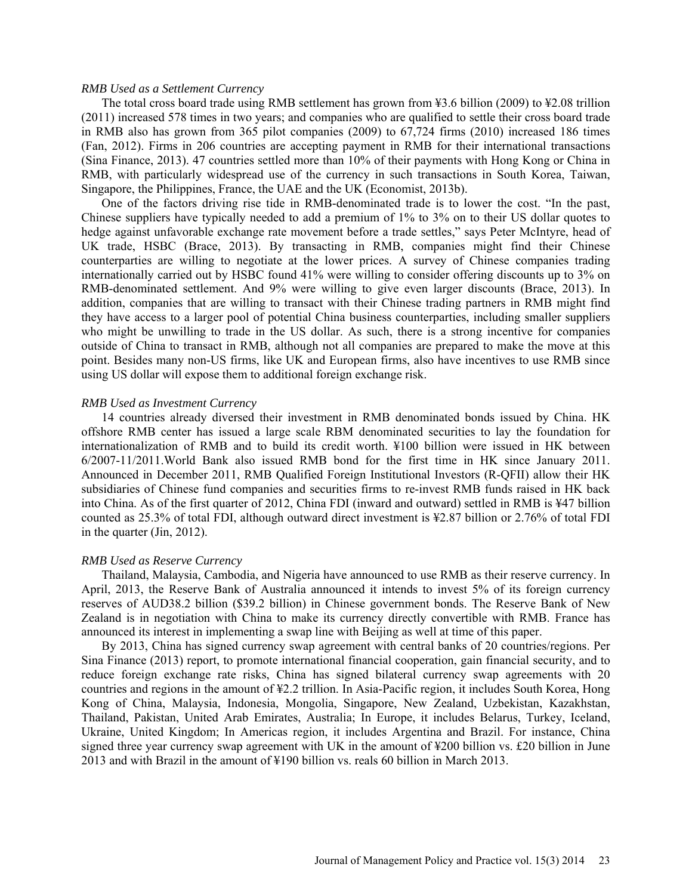#### *RMB Used as a Settlement Currency*

The total cross board trade using RMB settlement has grown from ¥3.6 billion (2009) to ¥2.08 trillion (2011) increased 578 times in two years; and companies who are qualified to settle their cross board trade in RMB also has grown from 365 pilot companies (2009) to 67,724 firms (2010) increased 186 times (Fan, 2012). Firms in 206 countries are accepting payment in RMB for their international transactions (Sina Finance, 2013). 47 countries settled more than 10% of their payments with Hong Kong or China in RMB, with particularly widespread use of the currency in such transactions in South Korea, Taiwan, Singapore, the Philippines, France, the UAE and the UK (Economist, 2013b).

One of the factors driving rise tide in RMB-denominated trade is to lower the cost. "In the past, Chinese suppliers have typically needed to add a premium of 1% to 3% on to their US dollar quotes to hedge against unfavorable exchange rate movement before a trade settles," says Peter McIntyre, head of UK trade, HSBC (Brace, 2013). By transacting in RMB, companies might find their Chinese counterparties are willing to negotiate at the lower prices. A survey of Chinese companies trading internationally carried out by HSBC found 41% were willing to consider offering discounts up to 3% on RMB-denominated settlement. And 9% were willing to give even larger discounts (Brace, 2013). In addition, companies that are willing to transact with their Chinese trading partners in RMB might find they have access to a larger pool of potential China business counterparties, including smaller suppliers who might be unwilling to trade in the US dollar. As such, there is a strong incentive for companies outside of China to transact in RMB, although not all companies are prepared to make the move at this point. Besides many non-US firms, like UK and European firms, also have incentives to use RMB since using US dollar will expose them to additional foreign exchange risk.

#### *RMB Used as Investment Currency*

14 countries already diversed their investment in RMB denominated bonds issued by China. HK offshore RMB center has issued a large scale RBM denominated securities to lay the foundation for internationalization of RMB and to build its credit worth. ¥100 billion were issued in HK between 6/2007-11/2011.World Bank also issued RMB bond for the first time in HK since January 2011. Announced in December 2011, RMB Qualified Foreign Institutional Investors (R-QFII) allow their HK subsidiaries of Chinese fund companies and securities firms to re-invest RMB funds raised in HK back into China. As of the first quarter of 2012, China FDI (inward and outward) settled in RMB is ¥47 billion counted as 25.3% of total FDI, although outward direct investment is ¥2.87 billion or 2.76% of total FDI in the quarter (Jin, 2012).

#### *RMB Used as Reserve Currency*

Thailand, Malaysia, Cambodia, and Nigeria have announced to use RMB as their reserve currency. In April, 2013, the Reserve Bank of Australia announced it intends to invest 5% of its foreign currency reserves of AUD38.2 billion (\$39.2 billion) in Chinese government bonds. The Reserve Bank of New Zealand is in negotiation with China to make its currency directly convertible with RMB. France has announced its interest in implementing a swap line with Beijing as well at time of this paper.

By 2013, China has signed currency swap agreement with central banks of 20 countries/regions. Per Sina Finance (2013) report, to promote international financial cooperation, gain financial security, and to reduce foreign exchange rate risks, China has signed bilateral currency swap agreements with 20 countries and regions in the amount of ¥2.2 trillion. In Asia-Pacific region, it includes South Korea, Hong Kong of China, Malaysia, Indonesia, Mongolia, Singapore, New Zealand, Uzbekistan, Kazakhstan, Thailand, Pakistan, United Arab Emirates, Australia; In Europe, it includes Belarus, Turkey, Iceland, Ukraine, United Kingdom; In Americas region, it includes Argentina and Brazil. For instance, China signed three year currency swap agreement with UK in the amount of ¥200 billion vs. £20 billion in June 2013 and with Brazil in the amount of ¥190 billion vs. reals 60 billion in March 2013.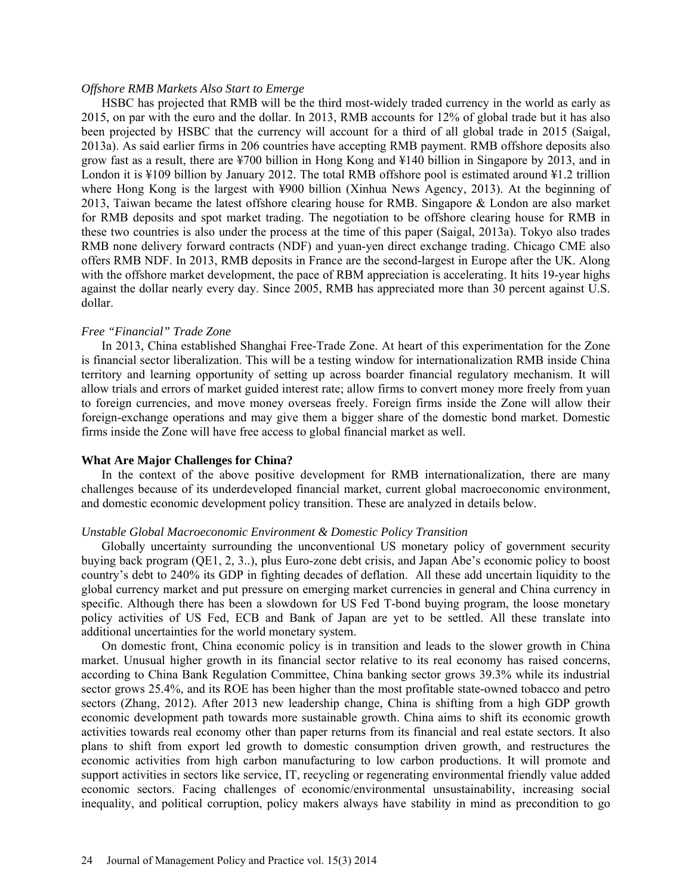#### *Offshore RMB Markets Also Start to Emerge*

HSBC has projected that RMB will be the third most-widely traded currency in the world as early as 2015, on par with the euro and the dollar. In 2013, RMB accounts for 12% of global trade but it has also been projected by HSBC that the currency will account for a third of all global trade in 2015 (Saigal, 2013a). As said earlier firms in 206 countries have accepting RMB payment. RMB offshore deposits also grow fast as a result, there are ¥700 billion in Hong Kong and ¥140 billion in Singapore by 2013, and in London it is ¥109 billion by January 2012. The total RMB offshore pool is estimated around ¥1.2 trillion where Hong Kong is the largest with ¥900 billion (Xinhua News Agency, 2013). At the beginning of 2013, Taiwan became the latest offshore clearing house for RMB. Singapore & London are also market for RMB deposits and spot market trading. The negotiation to be offshore clearing house for RMB in these two countries is also under the process at the time of this paper (Saigal, 2013a). Tokyo also trades RMB none delivery forward contracts (NDF) and yuan-yen direct exchange trading. Chicago CME also offers RMB NDF. In 2013, RMB deposits in France are the second-largest in Europe after the UK. Along with the offshore market development, the pace of RBM appreciation is accelerating. It hits 19-year highs against the dollar nearly every day. Since 2005, RMB has appreciated more than 30 percent against U.S. dollar.

#### *Free "Financial" Trade Zone*

In 2013, China established Shanghai Free-Trade Zone. At heart of this experimentation for the Zone is financial sector liberalization. This will be a testing window for internationalization RMB inside China territory and learning opportunity of setting up across boarder financial regulatory mechanism. It will allow trials and errors of market guided interest rate; allow firms to convert money more freely from yuan to foreign currencies, and move money overseas freely. Foreign firms inside the Zone will allow their foreign-exchange operations and may give them a bigger share of the domestic bond market. Domestic firms inside the Zone will have free access to global financial market as well.

#### **What Are Major Challenges for China?**

In the context of the above positive development for RMB internationalization, there are many challenges because of its underdeveloped financial market, current global macroeconomic environment, and domestic economic development policy transition. These are analyzed in details below.

#### *Unstable Global Macroeconomic Environment & Domestic Policy Transition*

Globally uncertainty surrounding the unconventional US monetary policy of government security buying back program (QE1, 2, 3..), plus Euro-zone debt crisis, and Japan Abe's economic policy to boost country's debt to 240% its GDP in fighting decades of deflation. All these add uncertain liquidity to the global currency market and put pressure on emerging market currencies in general and China currency in specific. Although there has been a slowdown for US Fed T-bond buying program, the loose monetary policy activities of US Fed, ECB and Bank of Japan are yet to be settled. All these translate into additional uncertainties for the world monetary system.

On domestic front, China economic policy is in transition and leads to the slower growth in China market. Unusual higher growth in its financial sector relative to its real economy has raised concerns, according to China Bank Regulation Committee, China banking sector grows 39.3% while its industrial sector grows 25.4%, and its ROE has been higher than the most profitable state-owned tobacco and petro sectors (Zhang, 2012). After 2013 new leadership change, China is shifting from a high GDP growth economic development path towards more sustainable growth. China aims to shift its economic growth activities towards real economy other than paper returns from its financial and real estate sectors. It also plans to shift from export led growth to domestic consumption driven growth, and restructures the economic activities from high carbon manufacturing to low carbon productions. It will promote and support activities in sectors like service, IT, recycling or regenerating environmental friendly value added economic sectors. Facing challenges of economic/environmental unsustainability, increasing social inequality, and political corruption, policy makers always have stability in mind as precondition to go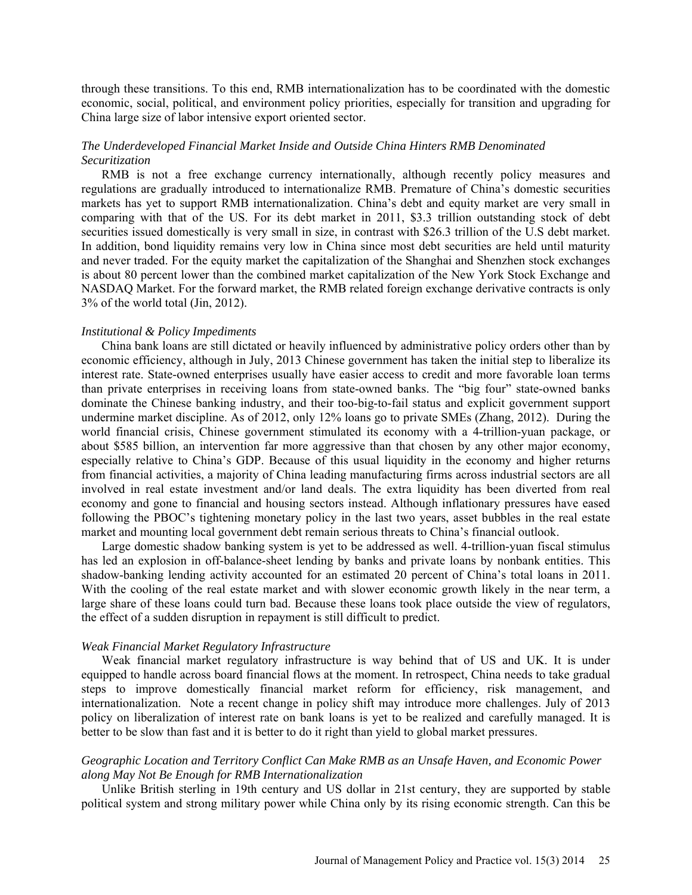through these transitions. To this end, RMB internationalization has to be coordinated with the domestic economic, social, political, and environment policy priorities, especially for transition and upgrading for China large size of labor intensive export oriented sector.

## *The Underdeveloped Financial Market Inside and Outside China Hinters RMB Denominated Securitization*

RMB is not a free exchange currency internationally, although recently policy measures and regulations are gradually introduced to internationalize RMB. Premature of China's domestic securities markets has yet to support RMB internationalization. China's debt and equity market are very small in comparing with that of the US. For its debt market in 2011, \$3.3 trillion outstanding stock of debt securities issued domestically is very small in size, in contrast with \$26.3 trillion of the U.S debt market. In addition, bond liquidity remains very low in China since most debt securities are held until maturity and never traded. For the equity market the capitalization of the Shanghai and Shenzhen stock exchanges is about 80 percent lower than the combined market capitalization of the New York Stock Exchange and NASDAQ Market. For the forward market, the RMB related foreign exchange derivative contracts is only 3% of the world total (Jin, 2012).

#### *Institutional & Policy Impediments*

China bank loans are still dictated or heavily influenced by administrative policy orders other than by economic efficiency, although in July, 2013 Chinese government has taken the initial step to liberalize its interest rate. State-owned enterprises usually have easier access to credit and more favorable loan terms than private enterprises in receiving loans from state-owned banks. The "big four" state-owned banks dominate the Chinese banking industry, and their too-big-to-fail status and explicit government support undermine market discipline. As of 2012, only 12% loans go to private SMEs (Zhang, 2012). During the world financial crisis, Chinese government stimulated its economy with a 4-trillion-yuan package, or about \$585 billion, an intervention far more aggressive than that chosen by any other major economy, especially relative to China's GDP. Because of this usual liquidity in the economy and higher returns from financial activities, a majority of China leading manufacturing firms across industrial sectors are all involved in real estate investment and/or land deals. The extra liquidity has been diverted from real economy and gone to financial and housing sectors instead. Although inflationary pressures have eased following the PBOC's tightening monetary policy in the last two years, asset bubbles in the real estate market and mounting local government debt remain serious threats to China's financial outlook.

Large domestic shadow banking system is yet to be addressed as well. 4-trillion-yuan fiscal stimulus has led an explosion in off-balance-sheet lending by banks and private loans by nonbank entities. This shadow-banking lending activity accounted for an estimated 20 percent of China's total loans in 2011. With the cooling of the real estate market and with slower economic growth likely in the near term, a large share of these loans could turn bad. Because these loans took place outside the view of regulators, the effect of a sudden disruption in repayment is still difficult to predict.

#### *Weak Financial Market Regulatory Infrastructure*

Weak financial market regulatory infrastructure is way behind that of US and UK. It is under equipped to handle across board financial flows at the moment. In retrospect, China needs to take gradual steps to improve domestically financial market reform for efficiency, risk management, and internationalization. Note a recent change in policy shift may introduce more challenges. July of 2013 policy on liberalization of interest rate on bank loans is yet to be realized and carefully managed. It is better to be slow than fast and it is better to do it right than yield to global market pressures.

## *Geographic Location and Territory Conflict Can Make RMB as an Unsafe Haven, and Economic Power along May Not Be Enough for RMB Internationalization*

Unlike British sterling in 19th century and US dollar in 21st century, they are supported by stable political system and strong military power while China only by its rising economic strength. Can this be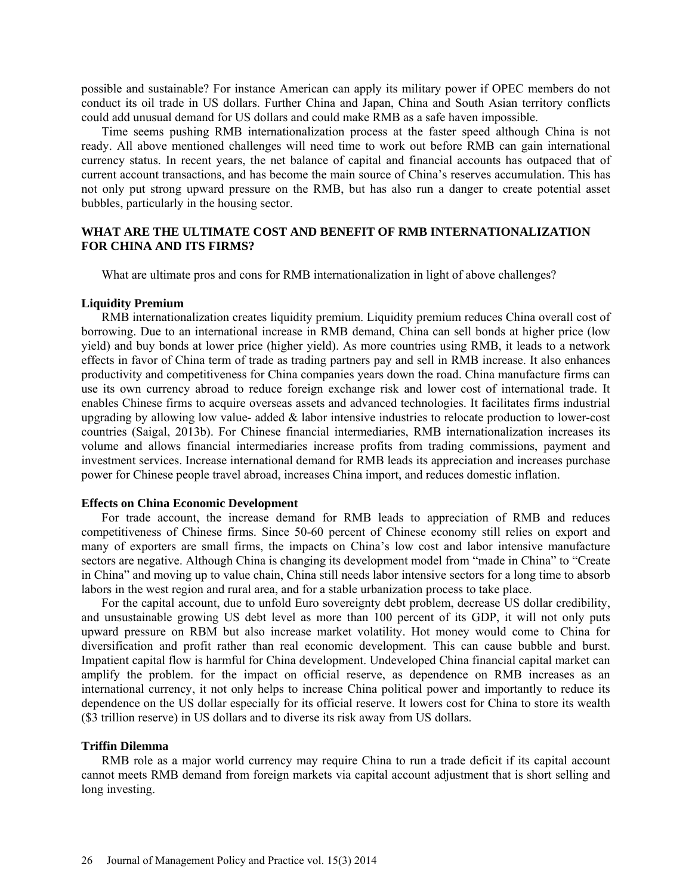possible and sustainable? For instance American can apply its military power if OPEC members do not conduct its oil trade in US dollars. Further China and Japan, China and South Asian territory conflicts could add unusual demand for US dollars and could make RMB as a safe haven impossible.

Time seems pushing RMB internationalization process at the faster speed although China is not ready. All above mentioned challenges will need time to work out before RMB can gain international currency status. In recent years, the net balance of capital and financial accounts has outpaced that of current account transactions, and has become the main source of China's reserves accumulation. This has not only put strong upward pressure on the RMB, but has also run a danger to create potential asset bubbles, particularly in the housing sector.

## **WHAT ARE THE ULTIMATE COST AND BENEFIT OF RMB INTERNATIONALIZATION FOR CHINA AND ITS FIRMS?**

What are ultimate pros and cons for RMB internationalization in light of above challenges?

#### **Liquidity Premium**

RMB internationalization creates liquidity premium. Liquidity premium reduces China overall cost of borrowing. Due to an international increase in RMB demand, China can sell bonds at higher price (low yield) and buy bonds at lower price (higher yield). As more countries using RMB, it leads to a network effects in favor of China term of trade as trading partners pay and sell in RMB increase. It also enhances productivity and competitiveness for China companies years down the road. China manufacture firms can use its own currency abroad to reduce foreign exchange risk and lower cost of international trade. It enables Chinese firms to acquire overseas assets and advanced technologies. It facilitates firms industrial upgrading by allowing low value- added  $\&$  labor intensive industries to relocate production to lower-cost countries (Saigal, 2013b). For Chinese financial intermediaries, RMB internationalization increases its volume and allows financial intermediaries increase profits from trading commissions, payment and investment services. Increase international demand for RMB leads its appreciation and increases purchase power for Chinese people travel abroad, increases China import, and reduces domestic inflation.

#### **Effects on China Economic Development**

For trade account, the increase demand for RMB leads to appreciation of RMB and reduces competitiveness of Chinese firms. Since 50-60 percent of Chinese economy still relies on export and many of exporters are small firms, the impacts on China's low cost and labor intensive manufacture sectors are negative. Although China is changing its development model from "made in China" to "Create in China" and moving up to value chain, China still needs labor intensive sectors for a long time to absorb labors in the west region and rural area, and for a stable urbanization process to take place.

For the capital account, due to unfold Euro sovereignty debt problem, decrease US dollar credibility, and unsustainable growing US debt level as more than 100 percent of its GDP, it will not only puts upward pressure on RBM but also increase market volatility. Hot money would come to China for diversification and profit rather than real economic development. This can cause bubble and burst. Impatient capital flow is harmful for China development. Undeveloped China financial capital market can amplify the problem. for the impact on official reserve, as dependence on RMB increases as an international currency, it not only helps to increase China political power and importantly to reduce its dependence on the US dollar especially for its official reserve. It lowers cost for China to store its wealth (\$3 trillion reserve) in US dollars and to diverse its risk away from US dollars.

#### **Triffin Dilemma**

RMB role as a major world currency may require China to run a trade deficit if its capital account cannot meets RMB demand from foreign markets via capital account adjustment that is short selling and long investing.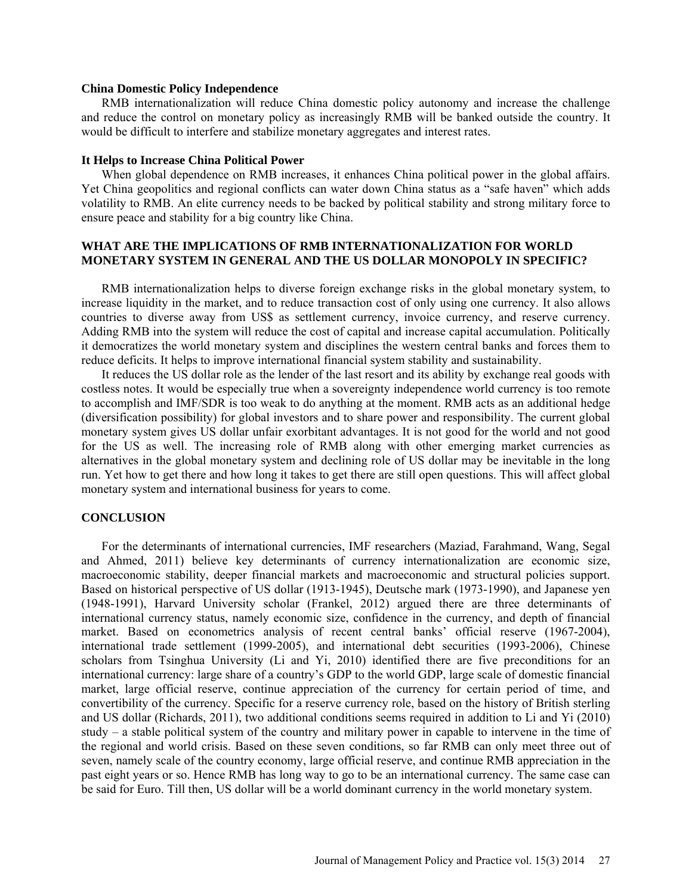#### **China Domestic Policy Independence**

RMB internationalization will reduce China domestic policy autonomy and increase the challenge and reduce the control on monetary policy as increasingly RMB will be banked outside the country. It would be difficult to interfere and stabilize monetary aggregates and interest rates.

#### **It Helps to Increase China Political Power**

When global dependence on RMB increases, it enhances China political power in the global affairs. Yet China geopolitics and regional conflicts can water down China status as a "safe haven" which adds volatility to RMB. An elite currency needs to be backed by political stability and strong military force to ensure peace and stability for a big country like China.

## **WHAT ARE THE IMPLICATIONS OF RMB INTERNATIONALIZATION FOR WORLD MONETARY SYSTEM IN GENERAL AND THE US DOLLAR MONOPOLY IN SPECIFIC?**

RMB internationalization helps to diverse foreign exchange risks in the global monetary system, to increase liquidity in the market, and to reduce transaction cost of only using one currency. It also allows countries to diverse away from US\$ as settlement currency, invoice currency, and reserve currency. Adding RMB into the system will reduce the cost of capital and increase capital accumulation. Politically it democratizes the world monetary system and disciplines the western central banks and forces them to reduce deficits. It helps to improve international financial system stability and sustainability.

It reduces the US dollar role as the lender of the last resort and its ability by exchange real goods with costless notes. It would be especially true when a sovereignty independence world currency is too remote to accomplish and IMF/SDR is too weak to do anything at the moment. RMB acts as an additional hedge (diversification possibility) for global investors and to share power and responsibility. The current global monetary system gives US dollar unfair exorbitant advantages. It is not good for the world and not good for the US as well. The increasing role of RMB along with other emerging market currencies as alternatives in the global monetary system and declining role of US dollar may be inevitable in the long run. Yet how to get there and how long it takes to get there are still open questions. This will affect global monetary system and international business for years to come.

### **CONCLUSION**

For the determinants of international currencies, IMF researchers (Maziad, Farahmand, Wang, Segal and Ahmed, 2011) believe key determinants of currency internationalization are economic size, macroeconomic stability, deeper financial markets and macroeconomic and structural policies support. Based on historical perspective of US dollar (1913-1945), Deutsche mark (1973-1990), and Japanese yen (1948-1991), Harvard University scholar (Frankel, 2012) argued there are three determinants of international currency status, namely economic size, confidence in the currency, and depth of financial market. Based on econometrics analysis of recent central banks' official reserve (1967-2004), international trade settlement (1999-2005), and international debt securities (1993-2006), Chinese scholars from Tsinghua University (Li and Yi, 2010) identified there are five preconditions for an international currency: large share of a country's GDP to the world GDP, large scale of domestic financial market, large official reserve, continue appreciation of the currency for certain period of time, and convertibility of the currency. Specific for a reserve currency role, based on the history of British sterling and US dollar (Richards, 2011), two additional conditions seems required in addition to Li and Yi (2010) study – a stable political system of the country and military power in capable to intervene in the time of the regional and world crisis. Based on these seven conditions, so far RMB can only meet three out of seven, namely scale of the country economy, large official reserve, and continue RMB appreciation in the past eight years or so. Hence RMB has long way to go to be an international currency. The same case can be said for Euro. Till then, US dollar will be a world dominant currency in the world monetary system.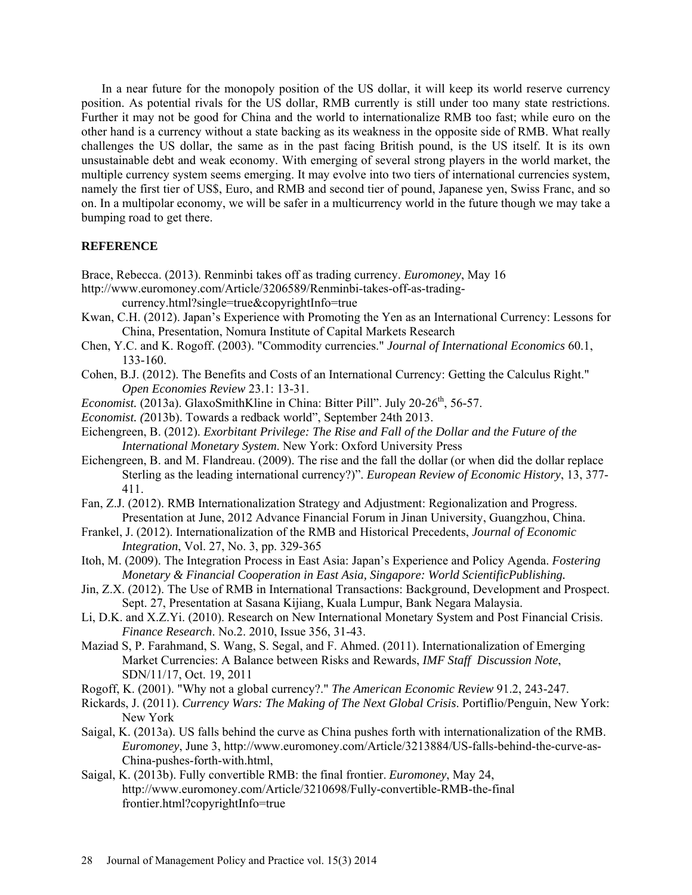In a near future for the monopoly position of the US dollar, it will keep its world reserve currency position. As potential rivals for the US dollar, RMB currently is still under too many state restrictions. Further it may not be good for China and the world to internationalize RMB too fast; while euro on the other hand is a currency without a state backing as its weakness in the opposite side of RMB. What really challenges the US dollar, the same as in the past facing British pound, is the US itself. It is its own unsustainable debt and weak economy. With emerging of several strong players in the world market, the multiple currency system seems emerging. It may evolve into two tiers of international currencies system, namely the first tier of US\$, Euro, and RMB and second tier of pound, Japanese yen, Swiss Franc, and so on. In a multipolar economy, we will be safer in a multicurrency world in the future though we may take a bumping road to get there.

### **REFERENCE**

- Brace, Rebecca. (2013). Renminbi takes off as trading currency. *Euromoney*, May 16
- [http://www.euromoney.com/Article/3206589/Renminbi-takes-off-as-trading](http://www.euromoney.com/Article/3206589/Renminbi-takes-off-as-trading-currency.html?single=true©rightInfo=true)[currency.html?single=true&copyrightInfo=true](http://www.euromoney.com/Article/3206589/Renminbi-takes-off-as-trading-currency.html?single=true©rightInfo=true)
- Kwan, C.H. (2012). Japan's Experience with Promoting the Yen as an International Currency: Lessons for China, Presentation, Nomura Institute of Capital Markets Research
- Chen, Y.C. and K. Rogoff. (2003). "Commodity currencies." *Journal of International Economics* 60.1, 133-160.
- Cohen, B.J. (2012). The Benefits and Costs of an International Currency: Getting the Calculus Right." *Open Economies Review* 23.1: 13-31.
- *Economist.* (2013a). GlaxoSmithKline in China: Bitter Pill". July 20-26<sup>th</sup>, 56-57.
- *Economist. (*2013b). Towards a redback world", September 24th 2013.
- Eichengreen, B. (2012). *Exorbitant Privilege: The Rise and Fall of the Dollar and the Future of the International Monetary System*. New York: Oxford University Press
- Eichengreen, B. and M. Flandreau. (2009). The rise and the fall the dollar (or when did the dollar replace Sterling as the leading international currency?)". *European Review of Economic History*, 13, 377- 411.
- Fan, Z.J. (2012). RMB Internationalization Strategy and Adjustment: Regionalization and Progress. Presentation at June, 2012 Advance Financial Forum in Jinan University, Guangzhou, China.
- Frankel, J. (2012). Internationalization of the RMB and Historical Precedents, *Journal of Economic Integration*, Vol. 27, No. 3, pp. 329-365
- Itoh, M. (2009). The Integration Process in East Asia: Japan's Experience and Policy Agenda. *Fostering Monetary & Financial Cooperation in East Asia, Singapore: World ScientificPublishing.*
- Jin, Z.X. (2012). The Use of RMB in International Transactions: Background, Development and Prospect. Sept. 27, Presentation at Sasana Kijiang, Kuala Lumpur, Bank Negara Malaysia.
- Li, D.K. and X.Z.Yi. (2010). Research on New International Monetary System and Post Financial Crisis. *Finance Research*. No.2. 2010, Issue 356, 31-43.
- Maziad S, P. Farahmand, S. Wang, S. Segal, and F. Ahmed. (2011). Internationalization of Emerging Market Currencies: A Balance between Risks and Rewards, *IMF Staff Discussion Note*, SDN/11/17, Oct. 19, 2011
- Rogoff, K. (2001). "Why not a global currency?." *The American Economic Review* 91.2, 243-247.
- Rickards, J. (2011). *Currency Wars: The Making of The Next Global Crisis*. Portiflio/Penguin, New York: New York
- Saigal, K. (2013a). US falls behind the curve as China pushes forth with internationalization of the RMB. *Euromoney*, June 3, [http://www.euromoney.com/Article/3213884/US-falls-behind-the-curve-as-](http://www.euromoney.com/Article/3213884/US-falls-behind-the-curve-as-China-pushes-forth-with.html)[China-pushes-forth-with.html,](http://www.euromoney.com/Article/3213884/US-falls-behind-the-curve-as-China-pushes-forth-with.html)
- Saigal, K. (2013b). Fully convertible RMB: the final frontier. *Euromoney*, May 24, [http://www.euromoney.com/Article/3210698/Fully-convertible-RMB-the-final](http://www.euromoney.com/Article/3210698/Fully-convertible-RMB-the-final%20frontier.html?copyrightInfo=true)  [frontier.html?copyrightInfo=true](http://www.euromoney.com/Article/3210698/Fully-convertible-RMB-the-final%20frontier.html?copyrightInfo=true)